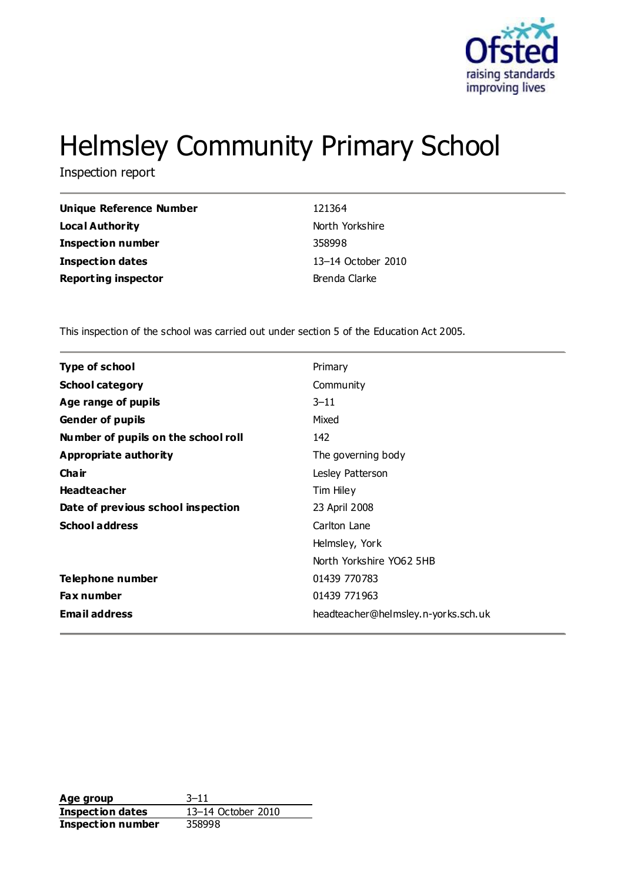

# Helmsley Community Primary School

Inspection report

| <b>Unique Reference Number</b> | 121364             |
|--------------------------------|--------------------|
| Local Authority                | North Yorkshire    |
| <b>Inspection number</b>       | 358998             |
| <b>Inspection dates</b>        | 13-14 October 2010 |
| <b>Reporting inspector</b>     | Brenda Clarke      |
|                                |                    |

This inspection of the school was carried out under section 5 of the Education Act 2005.

| <b>Type of school</b>               | Primary                             |
|-------------------------------------|-------------------------------------|
| <b>School category</b>              | Community                           |
| Age range of pupils                 | $3 - 11$                            |
| <b>Gender of pupils</b>             | Mixed                               |
| Number of pupils on the school roll | 142                                 |
| <b>Appropriate authority</b>        | The governing body                  |
| Cha ir                              | Lesley Patterson                    |
| <b>Headteacher</b>                  | Tim Hiley                           |
| Date of previous school inspection  | 23 April 2008                       |
| <b>School address</b>               | Carlton Lane                        |
|                                     | Helmsley, York                      |
|                                     | North Yorkshire YO62 5HB            |
| Telephone number                    | 01439 770783                        |
| Fax number                          | 01439 771963                        |
| <b>Email address</b>                | headteacher@helmsley.n-yorks.sch.uk |

**Age group** 3–11 **Inspection dates** 13–14 October 2010 **Inspection number** 358998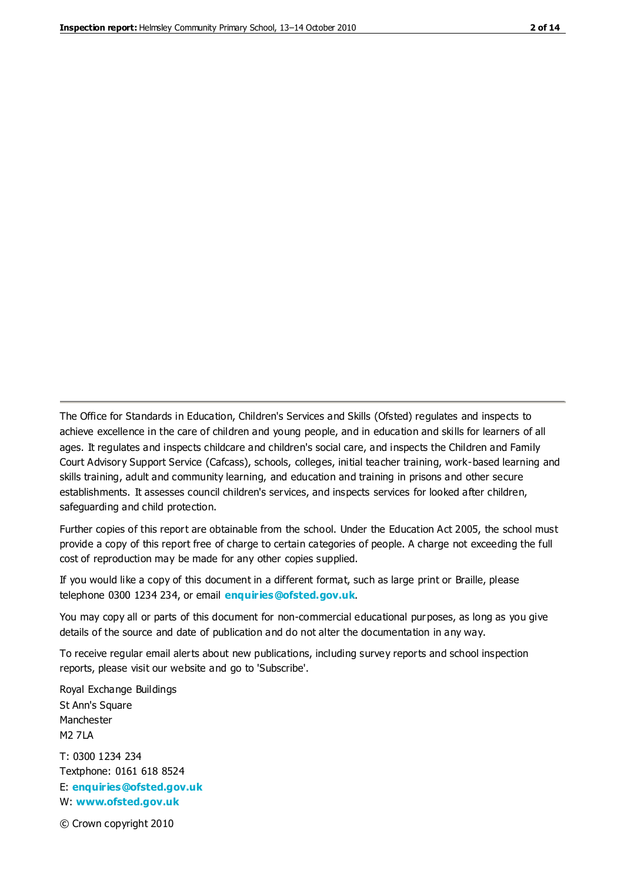The Office for Standards in Education, Children's Services and Skills (Ofsted) regulates and inspects to achieve excellence in the care of children and young people, and in education and skills for learners of all ages. It regulates and inspects childcare and children's social care, and inspects the Children and Family Court Advisory Support Service (Cafcass), schools, colleges, initial teacher training, work-based learning and skills training, adult and community learning, and education and training in prisons and other secure establishments. It assesses council children's services, and inspects services for looked after children, safeguarding and child protection.

Further copies of this report are obtainable from the school. Under the Education Act 2005, the school must provide a copy of this report free of charge to certain categories of people. A charge not exceeding the full cost of reproduction may be made for any other copies supplied.

If you would like a copy of this document in a different format, such as large print or Braille, please telephone 0300 1234 234, or email **[enquiries@ofsted.gov.uk](mailto:enquiries@ofsted.gov.uk)**.

You may copy all or parts of this document for non-commercial educational purposes, as long as you give details of the source and date of publication and do not alter the documentation in any way.

To receive regular email alerts about new publications, including survey reports and school inspection reports, please visit our website and go to 'Subscribe'.

Royal Exchange Buildings St Ann's Square Manchester M2 7LA T: 0300 1234 234 Textphone: 0161 618 8524 E: **[enquiries@ofsted.gov.uk](mailto:enquiries@ofsted.gov.uk)**

W: **[www.ofsted.gov.uk](http://www.ofsted.gov.uk/)**

© Crown copyright 2010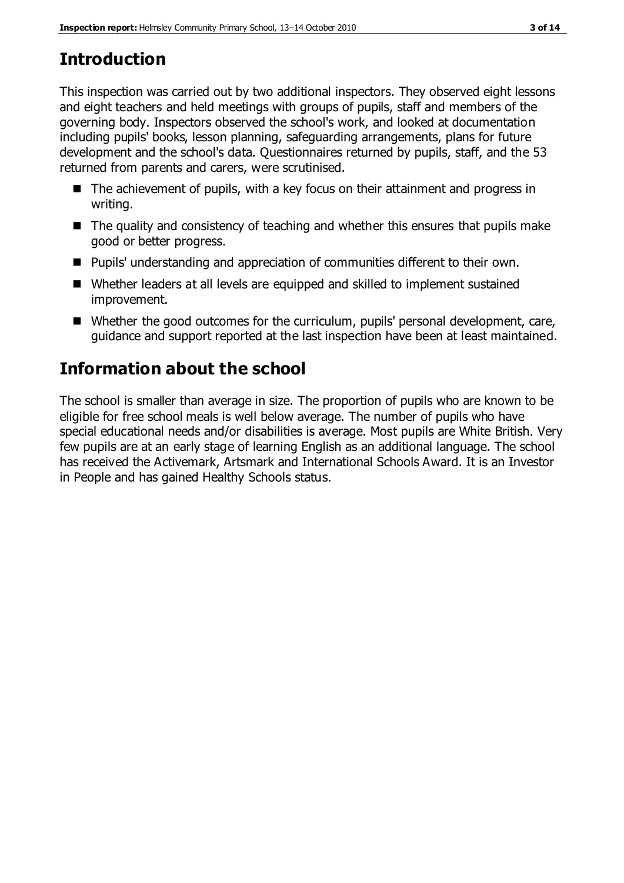# **Introduction**

This inspection was carried out by two additional inspectors. They observed eight lessons and eight teachers and held meetings with groups of pupils, staff and members of the governing body. Inspectors observed the school's work, and looked at documentation including pupils' books, lesson planning, safeguarding arrangements, plans for future development and the school's data. Questionnaires returned by pupils, staff, and the 53 returned from parents and carers, were scrutinised.

- $\blacksquare$  The achievement of pupils, with a key focus on their attainment and progress in writing.
- $\blacksquare$  The quality and consistency of teaching and whether this ensures that pupils make good or better progress.
- Pupils' understanding and appreciation of communities different to their own.
- Whether leaders at all levels are equipped and skilled to implement sustained improvement.
- Whether the good outcomes for the curriculum, pupils' personal development, care, guidance and support reported at the last inspection have been at least maintained.

# **Information about the school**

The school is smaller than average in size. The proportion of pupils who are known to be eligible for free school meals is well below average. The number of pupils who have special educational needs and/or disabilities is average. Most pupils are White British. Very few pupils are at an early stage of learning English as an additional language. The school has received the Activemark, Artsmark and International Schools Award. It is an Investor in People and has gained Healthy Schools status.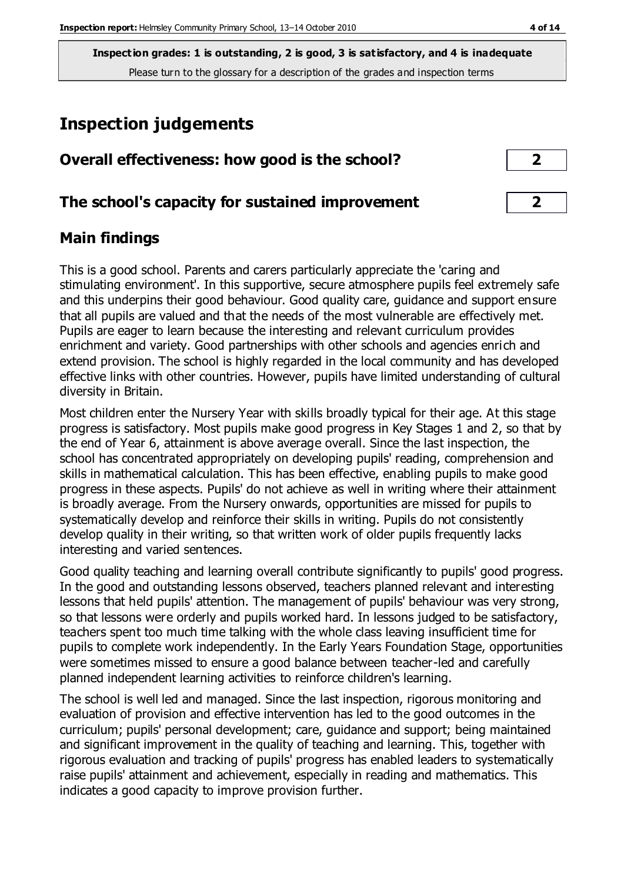**Inspection grades: 1 is outstanding, 2 is good, 3 is satisfactory, and 4 is inadequate** Please turn to the glossary for a description of the grades and inspection terms

# **Inspection judgements**

| Overall effectiveness: how good is the school?  |  |
|-------------------------------------------------|--|
| The school's capacity for sustained improvement |  |

#### **Main findings**

This is a good school. Parents and carers particularly appreciate the 'caring and stimulating environment'. In this supportive, secure atmosphere pupils feel extremely safe and this underpins their good behaviour. Good quality care, guidance and support ensure that all pupils are valued and that the needs of the most vulnerable are effectively met. Pupils are eager to learn because the interesting and relevant curriculum provides enrichment and variety. Good partnerships with other schools and agencies enrich and extend provision. The school is highly regarded in the local community and has developed effective links with other countries. However, pupils have limited understanding of cultural diversity in Britain.

Most children enter the Nursery Year with skills broadly typical for their age. At this stage progress is satisfactory. Most pupils make good progress in Key Stages 1 and 2, so that by the end of Year 6, attainment is above average overall. Since the last inspection, the school has concentrated appropriately on developing pupils' reading, comprehension and skills in mathematical calculation. This has been effective, enabling pupils to make good progress in these aspects. Pupils' do not achieve as well in writing where their attainment is broadly average. From the Nursery onwards, opportunities are missed for pupils to systematically develop and reinforce their skills in writing. Pupils do not consistently develop quality in their writing, so that written work of older pupils frequently lacks interesting and varied sentences.

Good quality teaching and learning overall contribute significantly to pupils' good progress. In the good and outstanding lessons observed, teachers planned relevant and interesting lessons that held pupils' attention. The management of pupils' behaviour was very strong, so that lessons were orderly and pupils worked hard. In lessons judged to be satisfactory, teachers spent too much time talking with the whole class leaving insufficient time for pupils to complete work independently. In the Early Years Foundation Stage, opportunities were sometimes missed to ensure a good balance between teacher-led and carefully planned independent learning activities to reinforce children's learning.

The school is well led and managed. Since the last inspection, rigorous monitoring and evaluation of provision and effective intervention has led to the good outcomes in the curriculum; pupils' personal development; care, guidance and support; being maintained and significant improvement in the quality of teaching and learning. This, together with rigorous evaluation and tracking of pupils' progress has enabled leaders to systematically raise pupils' attainment and achievement, especially in reading and mathematics. This indicates a good capacity to improve provision further.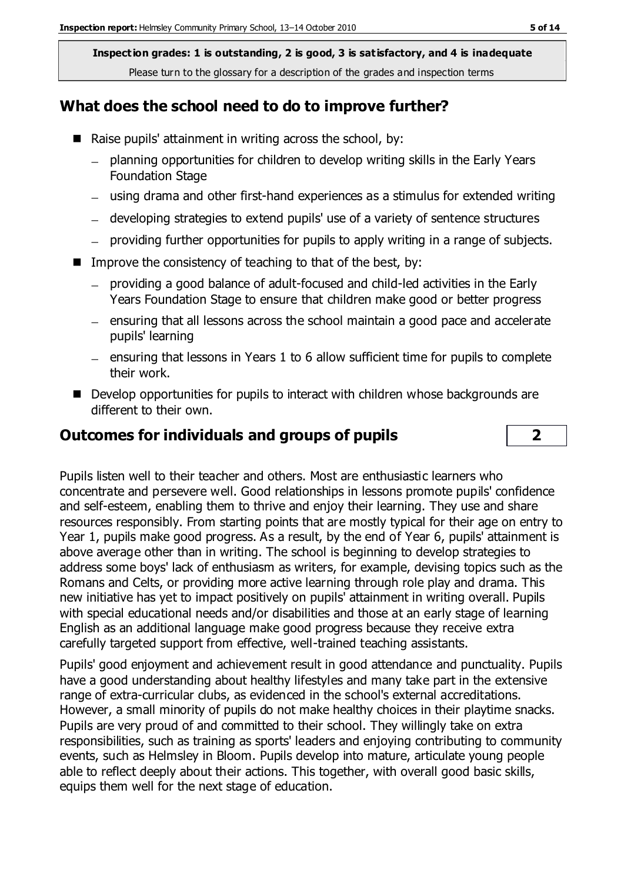**Inspection grades: 1 is outstanding, 2 is good, 3 is satisfactory, and 4 is inadequate** Please turn to the glossary for a description of the grades and inspection terms

#### **What does the school need to do to improve further?**

- Raise pupils' attainment in writing across the school, by:
	- planning opportunities for children to develop writing skills in the Early Years  $-$ Foundation Stage
	- using drama and other first-hand experiences as a stimulus for extended writing
	- developing strategies to extend pupils' use of a variety of sentence structures
	- providing further opportunities for pupils to apply writing in a range of subjects.
- Improve the consistency of teaching to that of the best, by:
	- providing a good balance of adult-focused and child-led activities in the Early Years Foundation Stage to ensure that children make good or better progress
	- ensuring that all lessons across the school maintain a good pace and accelerate pupils' learning
	- $-$  ensuring that lessons in Years 1 to 6 allow sufficient time for pupils to complete their work.
- Develop opportunities for pupils to interact with children whose backgrounds are different to their own.

#### **Outcomes for individuals and groups of pupils 2**



Pupils listen well to their teacher and others. Most are enthusiastic learners who concentrate and persevere well. Good relationships in lessons promote pupils' confidence and self-esteem, enabling them to thrive and enjoy their learning. They use and share resources responsibly. From starting points that are mostly typical for their age on entry to Year 1, pupils make good progress. As a result, by the end of Year 6, pupils' attainment is above average other than in writing. The school is beginning to develop strategies to address some boys' lack of enthusiasm as writers, for example, devising topics such as the Romans and Celts, or providing more active learning through role play and drama. This new initiative has yet to impact positively on pupils' attainment in writing overall. Pupils with special educational needs and/or disabilities and those at an early stage of learning English as an additional language make good progress because they receive extra carefully targeted support from effective, well-trained teaching assistants.

Pupils' good enjoyment and achievement result in good attendance and punctuality. Pupils have a good understanding about healthy lifestyles and many take part in the extensive range of extra-curricular clubs, as evidenced in the school's external accreditations. However, a small minority of pupils do not make healthy choices in their playtime snacks. Pupils are very proud of and committed to their school. They willingly take on extra responsibilities, such as training as sports' leaders and enjoying contributing to community events, such as Helmsley in Bloom. Pupils develop into mature, articulate young people able to reflect deeply about their actions. This together, with overall good basic skills, equips them well for the next stage of education.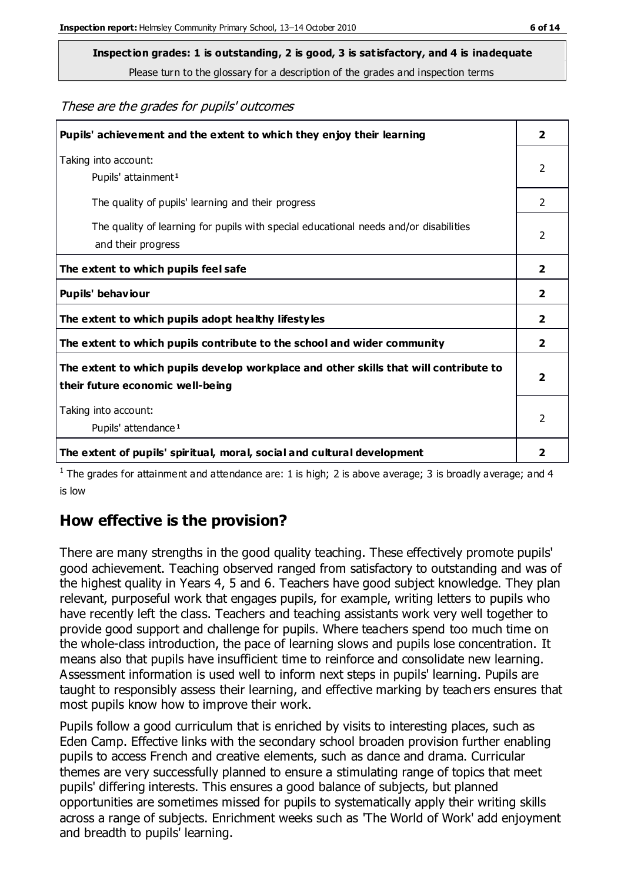Please turn to the glossary for a description of the grades and inspection terms

These are the grades for pupils' outcomes

| Pupils' achievement and the extent to which they enjoy their learning                                                     | $\overline{\mathbf{2}}$ |
|---------------------------------------------------------------------------------------------------------------------------|-------------------------|
| Taking into account:<br>Pupils' attainment <sup>1</sup>                                                                   | 2                       |
| The quality of pupils' learning and their progress                                                                        | $\mathcal{P}$           |
| The quality of learning for pupils with special educational needs and/or disabilities<br>and their progress               | $\overline{2}$          |
| The extent to which pupils feel safe                                                                                      | 2                       |
| Pupils' behaviour                                                                                                         | 2                       |
| The extent to which pupils adopt healthy lifestyles                                                                       | 2                       |
| The extent to which pupils contribute to the school and wider community                                                   | 2                       |
| The extent to which pupils develop workplace and other skills that will contribute to<br>their future economic well-being |                         |
| Taking into account:<br>Pupils' attendance <sup>1</sup>                                                                   | $\mathcal{P}$           |
| The extent of pupils' spiritual, moral, social and cultural development                                                   | 2                       |

<sup>1</sup> The grades for attainment and attendance are: 1 is high; 2 is above average; 3 is broadly average; and 4 is low

## **How effective is the provision?**

There are many strengths in the good quality teaching. These effectively promote pupils' good achievement. Teaching observed ranged from satisfactory to outstanding and was of the highest quality in Years 4, 5 and 6. Teachers have good subject knowledge. They plan relevant, purposeful work that engages pupils, for example, writing letters to pupils who have recently left the class. Teachers and teaching assistants work very well together to provide good support and challenge for pupils. Where teachers spend too much time on the whole-class introduction, the pace of learning slows and pupils lose concentration. It means also that pupils have insufficient time to reinforce and consolidate new learning. Assessment information is used well to inform next steps in pupils' learning. Pupils are taught to responsibly assess their learning, and effective marking by teachers ensures that most pupils know how to improve their work.

Pupils follow a good curriculum that is enriched by visits to interesting places, such as Eden Camp. Effective links with the secondary school broaden provision further enabling pupils to access French and creative elements, such as dance and drama. Curricular themes are very successfully planned to ensure a stimulating range of topics that meet pupils' differing interests. This ensures a good balance of subjects, but planned opportunities are sometimes missed for pupils to systematically apply their writing skills across a range of subjects. Enrichment weeks such as 'The World of Work' add enjoyment and breadth to pupils' learning.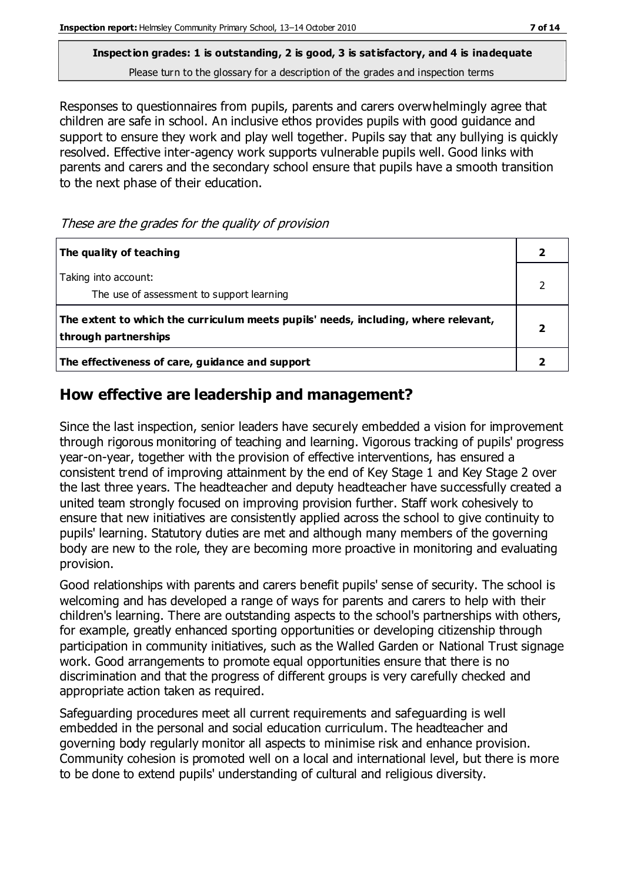Please turn to the glossary for a description of the grades and inspection terms

Responses to questionnaires from pupils, parents and carers overwhelmingly agree that children are safe in school. An inclusive ethos provides pupils with good guidance and support to ensure they work and play well together. Pupils say that any bullying is quickly resolved. Effective inter-agency work supports vulnerable pupils well. Good links with parents and carers and the secondary school ensure that pupils have a smooth transition to the next phase of their education.

These are the grades for the quality of provision

| The quality of teaching                                                                                    |  |
|------------------------------------------------------------------------------------------------------------|--|
| Taking into account:<br>The use of assessment to support learning                                          |  |
| The extent to which the curriculum meets pupils' needs, including, where relevant,<br>through partnerships |  |
| The effectiveness of care, guidance and support                                                            |  |

#### **How effective are leadership and management?**

Since the last inspection, senior leaders have securely embedded a vision for improvement through rigorous monitoring of teaching and learning. Vigorous tracking of pupils' progress year-on-year, together with the provision of effective interventions, has ensured a consistent trend of improving attainment by the end of Key Stage 1 and Key Stage 2 over the last three years. The headteacher and deputy headteacher have successfully created a united team strongly focused on improving provision further. Staff work cohesively to ensure that new initiatives are consistently applied across the school to give continuity to pupils' learning. Statutory duties are met and although many members of the governing body are new to the role, they are becoming more proactive in monitoring and evaluating provision.

Good relationships with parents and carers benefit pupils' sense of security. The school is welcoming and has developed a range of ways for parents and carers to help with their children's learning. There are outstanding aspects to the school's partnerships with others, for example, greatly enhanced sporting opportunities or developing citizenship through participation in community initiatives, such as the Walled Garden or National Trust signage work. Good arrangements to promote equal opportunities ensure that there is no discrimination and that the progress of different groups is very carefully checked and appropriate action taken as required.

Safeguarding procedures meet all current requirements and safeguarding is well embedded in the personal and social education curriculum. The headteacher and governing body regularly monitor all aspects to minimise risk and enhance provision. Community cohesion is promoted well on a local and international level, but there is more to be done to extend pupils' understanding of cultural and religious diversity.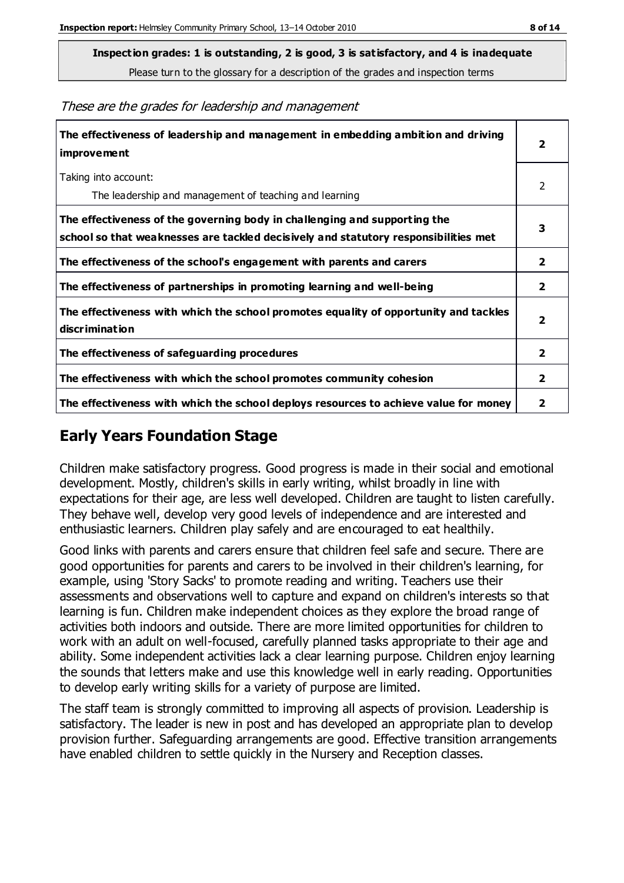Please turn to the glossary for a description of the grades and inspection terms

| The effectiveness of leadership and management in embedding ambition and driving<br><i>improvement</i>                                                           |                         |
|------------------------------------------------------------------------------------------------------------------------------------------------------------------|-------------------------|
| Taking into account:<br>The leadership and management of teaching and learning                                                                                   | 2                       |
| The effectiveness of the governing body in challenging and supporting the<br>school so that weaknesses are tackled decisively and statutory responsibilities met | 3                       |
| The effectiveness of the school's engagement with parents and carers                                                                                             | $\overline{2}$          |
| The effectiveness of partnerships in promoting learning and well-being                                                                                           | $\overline{\mathbf{2}}$ |
| The effectiveness with which the school promotes equality of opportunity and tackles<br>discrimination                                                           | $\overline{\mathbf{2}}$ |
| The effectiveness of safeguarding procedures                                                                                                                     | $\overline{2}$          |
| The effectiveness with which the school promotes community cohesion                                                                                              | $\overline{2}$          |
| The effectiveness with which the school deploys resources to achieve value for money                                                                             |                         |

#### These are the grades for leadership and management

## **Early Years Foundation Stage**

Children make satisfactory progress. Good progress is made in their social and emotional development. Mostly, children's skills in early writing, whilst broadly in line with expectations for their age, are less well developed. Children are taught to listen carefully. They behave well, develop very good levels of independence and are interested and enthusiastic learners. Children play safely and are encouraged to eat healthily.

Good links with parents and carers ensure that children feel safe and secure. There are good opportunities for parents and carers to be involved in their children's learning, for example, using 'Story Sacks' to promote reading and writing. Teachers use their assessments and observations well to capture and expand on children's interests so that learning is fun. Children make independent choices as they explore the broad range of activities both indoors and outside. There are more limited opportunities for children to work with an adult on well-focused, carefully planned tasks appropriate to their age and ability. Some independent activities lack a clear learning purpose. Children enjoy learning the sounds that letters make and use this knowledge well in early reading. Opportunities to develop early writing skills for a variety of purpose are limited.

The staff team is strongly committed to improving all aspects of provision. Leadership is satisfactory. The leader is new in post and has developed an appropriate plan to develop provision further. Safeguarding arrangements are good. Effective transition arrangements have enabled children to settle quickly in the Nursery and Reception classes.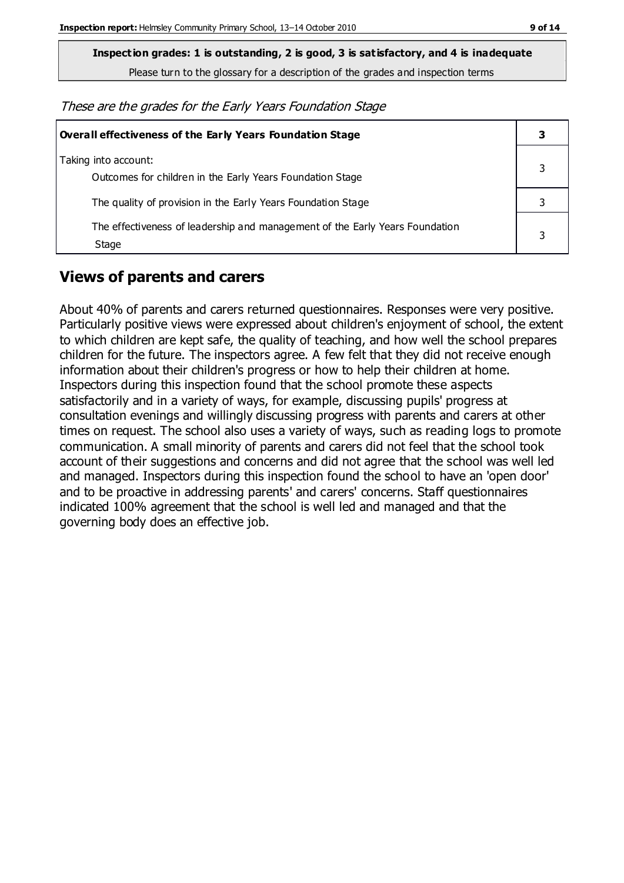Please turn to the glossary for a description of the grades and inspection terms

These are the grades for the Early Years Foundation Stage

| <b>Overall effectiveness of the Early Years Foundation Stage</b>                      |  |
|---------------------------------------------------------------------------------------|--|
| Taking into account:<br>Outcomes for children in the Early Years Foundation Stage     |  |
| The quality of provision in the Early Years Foundation Stage                          |  |
| The effectiveness of leadership and management of the Early Years Foundation<br>Stage |  |

#### **Views of parents and carers**

About 40% of parents and carers returned questionnaires. Responses were very positive. Particularly positive views were expressed about children's enjoyment of school, the extent to which children are kept safe, the quality of teaching, and how well the school prepares children for the future. The inspectors agree. A few felt that they did not receive enough information about their children's progress or how to help their children at home. Inspectors during this inspection found that the school promote these aspects satisfactorily and in a variety of ways, for example, discussing pupils' progress at consultation evenings and willingly discussing progress with parents and carers at other times on request. The school also uses a variety of ways, such as reading logs to promote communication. A small minority of parents and carers did not feel that the school took account of their suggestions and concerns and did not agree that the school was well led and managed. Inspectors during this inspection found the school to have an 'open door' and to be proactive in addressing parents' and carers' concerns. Staff questionnaires indicated 100% agreement that the school is well led and managed and that the governing body does an effective job.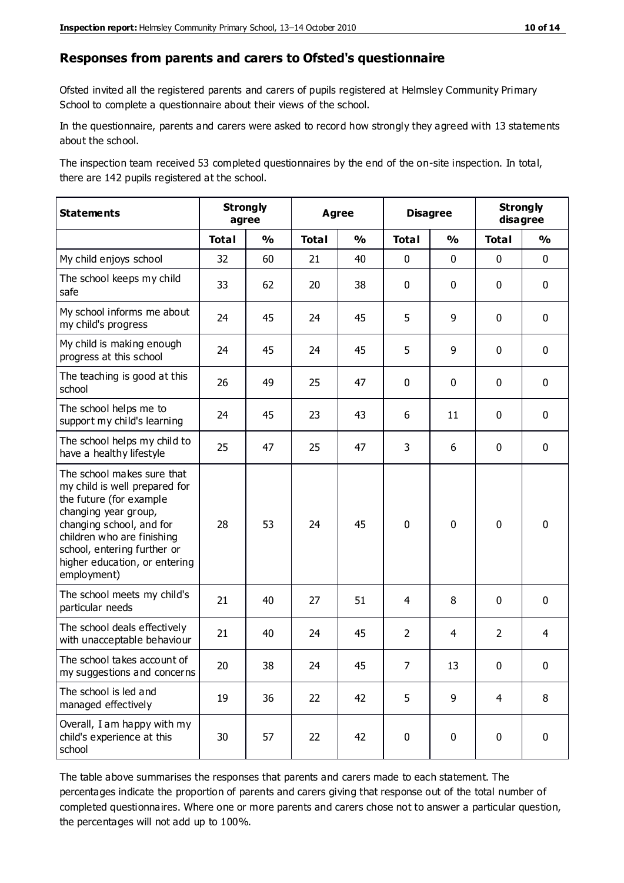#### **Responses from parents and carers to Ofsted's questionnaire**

Ofsted invited all the registered parents and carers of pupils registered at Helmsley Community Primary School to complete a questionnaire about their views of the school.

In the questionnaire, parents and carers were asked to record how strongly they agreed with 13 statements about the school.

The inspection team received 53 completed questionnaires by the end of the on-site inspection. In total, there are 142 pupils registered at the school.

| <b>Statements</b>                                                                                                                                                                                                                                       |              | <b>Strongly</b><br>agree | <b>Agree</b> |               | <b>Disagree</b> |               | <b>Strongly</b><br>disagree |               |
|---------------------------------------------------------------------------------------------------------------------------------------------------------------------------------------------------------------------------------------------------------|--------------|--------------------------|--------------|---------------|-----------------|---------------|-----------------------------|---------------|
|                                                                                                                                                                                                                                                         | <b>Total</b> | $\frac{0}{0}$            | <b>Total</b> | $\frac{0}{0}$ | <b>Total</b>    | $\frac{0}{0}$ | <b>Total</b>                | $\frac{0}{0}$ |
| My child enjoys school                                                                                                                                                                                                                                  | 32           | 60                       | 21           | 40            | 0               | 0             | $\mathbf 0$                 | $\mathbf 0$   |
| The school keeps my child<br>safe                                                                                                                                                                                                                       | 33           | 62                       | 20           | 38            | 0               | 0             | $\mathbf 0$                 | $\mathbf 0$   |
| My school informs me about<br>my child's progress                                                                                                                                                                                                       | 24           | 45                       | 24           | 45            | 5               | 9             | $\mathbf 0$                 | $\mathbf 0$   |
| My child is making enough<br>progress at this school                                                                                                                                                                                                    | 24           | 45                       | 24           | 45            | 5               | 9             | $\mathbf 0$                 | $\mathbf 0$   |
| The teaching is good at this<br>school                                                                                                                                                                                                                  | 26           | 49                       | 25           | 47            | 0               | $\mathbf 0$   | $\mathbf{0}$                | $\mathbf 0$   |
| The school helps me to<br>support my child's learning                                                                                                                                                                                                   | 24           | 45                       | 23           | 43            | 6               | 11            | $\mathbf 0$                 | $\mathbf 0$   |
| The school helps my child to<br>have a healthy lifestyle                                                                                                                                                                                                | 25           | 47                       | 25           | 47            | 3               | 6             | 0                           | $\mathbf 0$   |
| The school makes sure that<br>my child is well prepared for<br>the future (for example<br>changing year group,<br>changing school, and for<br>children who are finishing<br>school, entering further or<br>higher education, or entering<br>employment) | 28           | 53                       | 24           | 45            | 0               | 0             | $\mathbf 0$                 | $\mathbf 0$   |
| The school meets my child's<br>particular needs                                                                                                                                                                                                         | 21           | 40                       | 27           | 51            | 4               | 8             | $\mathbf 0$                 | $\mathbf 0$   |
| The school deals effectively<br>with unacceptable behaviour                                                                                                                                                                                             | 21           | 40                       | 24           | 45            | $\overline{2}$  | 4             | $\overline{2}$              | 4             |
| The school takes account of<br>my suggestions and concerns                                                                                                                                                                                              | 20           | 38                       | 24           | 45            | 7               | 13            | 0                           | 0             |
| The school is led and<br>managed effectively                                                                                                                                                                                                            | 19           | 36                       | 22           | 42            | 5               | 9             | 4                           | 8             |
| Overall, I am happy with my<br>child's experience at this<br>school                                                                                                                                                                                     | 30           | 57                       | 22           | 42            | 0               | $\pmb{0}$     | $\pmb{0}$                   | $\pmb{0}$     |

The table above summarises the responses that parents and carers made to each statement. The percentages indicate the proportion of parents and carers giving that response out of the total number of completed questionnaires. Where one or more parents and carers chose not to answer a particular question, the percentages will not add up to 100%.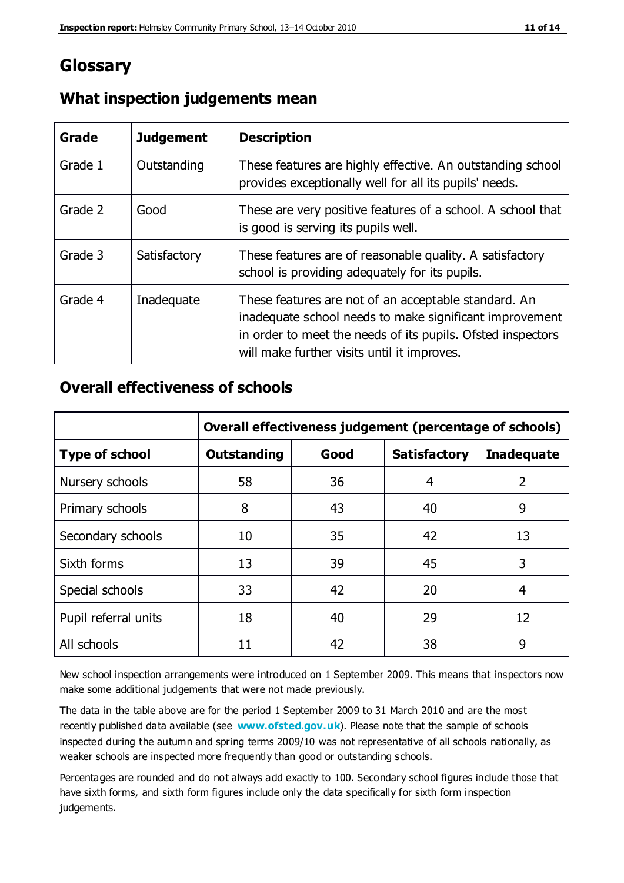## **Glossary**

| Grade   | <b>Judgement</b> | <b>Description</b>                                                                                                                                                                                                            |
|---------|------------------|-------------------------------------------------------------------------------------------------------------------------------------------------------------------------------------------------------------------------------|
| Grade 1 | Outstanding      | These features are highly effective. An outstanding school<br>provides exceptionally well for all its pupils' needs.                                                                                                          |
| Grade 2 | Good             | These are very positive features of a school. A school that<br>is good is serving its pupils well.                                                                                                                            |
| Grade 3 | Satisfactory     | These features are of reasonable quality. A satisfactory<br>school is providing adequately for its pupils.                                                                                                                    |
| Grade 4 | Inadequate       | These features are not of an acceptable standard. An<br>inadequate school needs to make significant improvement<br>in order to meet the needs of its pupils. Ofsted inspectors<br>will make further visits until it improves. |

### **What inspection judgements mean**

## **Overall effectiveness of schools**

|                       | Overall effectiveness judgement (percentage of schools) |      |                     |                   |
|-----------------------|---------------------------------------------------------|------|---------------------|-------------------|
| <b>Type of school</b> | <b>Outstanding</b>                                      | Good | <b>Satisfactory</b> | <b>Inadequate</b> |
| Nursery schools       | 58                                                      | 36   | 4                   | 2                 |
| Primary schools       | 8                                                       | 43   | 40                  | 9                 |
| Secondary schools     | 10                                                      | 35   | 42                  | 13                |
| Sixth forms           | 13                                                      | 39   | 45                  | 3                 |
| Special schools       | 33                                                      | 42   | 20                  | 4                 |
| Pupil referral units  | 18                                                      | 40   | 29                  | 12                |
| All schools           | 11                                                      | 42   | 38                  | 9                 |

New school inspection arrangements were introduced on 1 September 2009. This means that inspectors now make some additional judgements that were not made previously.

The data in the table above are for the period 1 September 2009 to 31 March 2010 and are the most recently published data available (see **[www.ofsted.gov.uk](http://www.ofsted.gov.uk/)**). Please note that the sample of schools inspected during the autumn and spring terms 2009/10 was not representative of all schools nationally, as weaker schools are inspected more frequently than good or outstanding schools.

Percentages are rounded and do not always add exactly to 100. Secondary school figures include those that have sixth forms, and sixth form figures include only the data specifically for sixth form inspection judgements.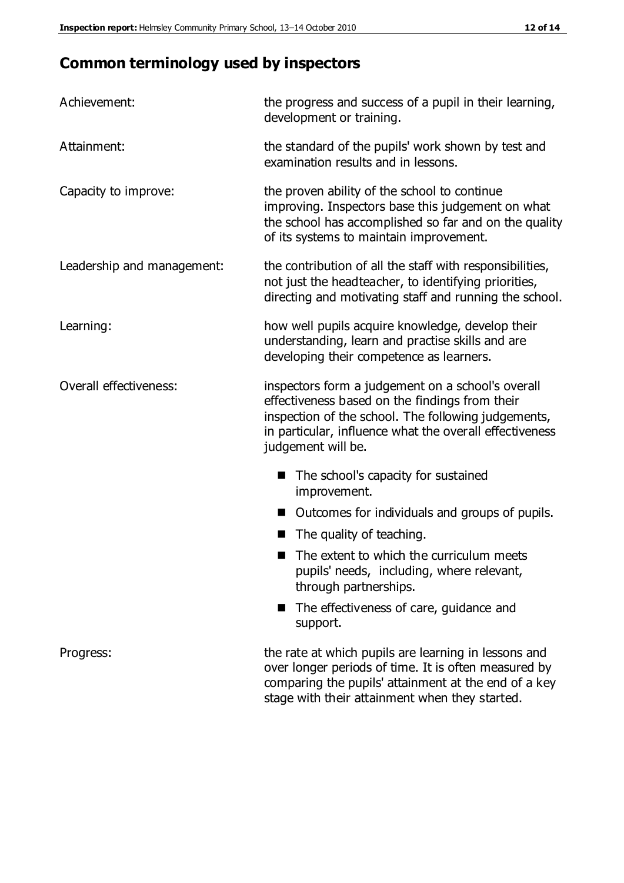# **Common terminology used by inspectors**

| Achievement:               | the progress and success of a pupil in their learning,<br>development or training.                                                                                                                                                          |  |  |
|----------------------------|---------------------------------------------------------------------------------------------------------------------------------------------------------------------------------------------------------------------------------------------|--|--|
| Attainment:                | the standard of the pupils' work shown by test and<br>examination results and in lessons.                                                                                                                                                   |  |  |
| Capacity to improve:       | the proven ability of the school to continue<br>improving. Inspectors base this judgement on what<br>the school has accomplished so far and on the quality<br>of its systems to maintain improvement.                                       |  |  |
| Leadership and management: | the contribution of all the staff with responsibilities,<br>not just the headteacher, to identifying priorities,<br>directing and motivating staff and running the school.                                                                  |  |  |
| Learning:                  | how well pupils acquire knowledge, develop their<br>understanding, learn and practise skills and are<br>developing their competence as learners.                                                                                            |  |  |
| Overall effectiveness:     | inspectors form a judgement on a school's overall<br>effectiveness based on the findings from their<br>inspection of the school. The following judgements,<br>in particular, influence what the overall effectiveness<br>judgement will be. |  |  |
|                            | The school's capacity for sustained<br>improvement.                                                                                                                                                                                         |  |  |
|                            | Outcomes for individuals and groups of pupils.                                                                                                                                                                                              |  |  |
|                            | The quality of teaching.                                                                                                                                                                                                                    |  |  |
|                            | The extent to which the curriculum meets<br>pupils' needs, including, where relevant,<br>through partnerships.                                                                                                                              |  |  |
|                            | The effectiveness of care, guidance and<br>support.                                                                                                                                                                                         |  |  |
| Progress:                  | the rate at which pupils are learning in lessons and<br>over longer periods of time. It is often measured by<br>comparing the pupils' attainment at the end of a key                                                                        |  |  |

stage with their attainment when they started.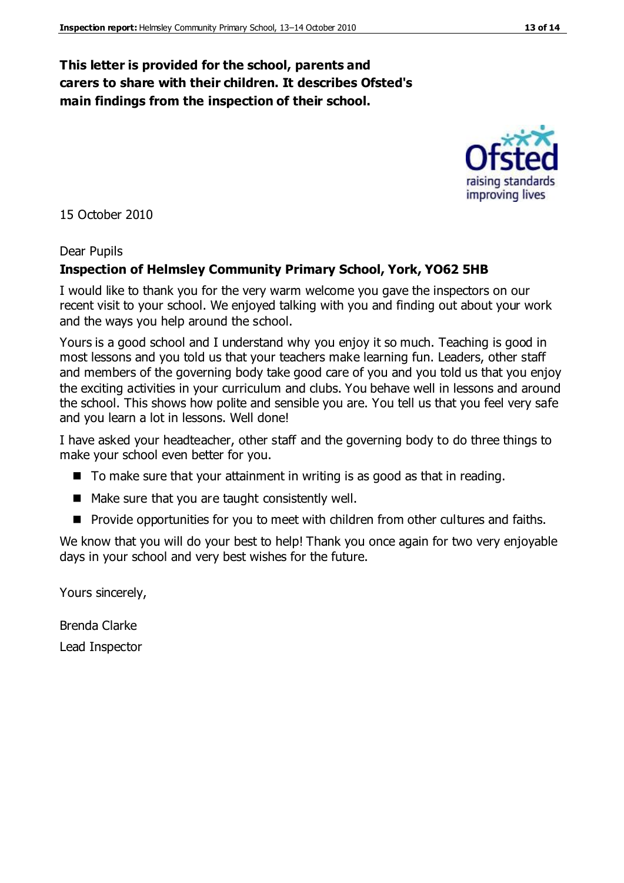#### **This letter is provided for the school, parents and carers to share with their children. It describes Ofsted's main findings from the inspection of their school.**

15 October 2010

#### Dear Pupils

#### **Inspection of Helmsley Community Primary School, York, YO62 5HB**

I would like to thank you for the very warm welcome you gave the inspectors on our recent visit to your school. We enjoyed talking with you and finding out about your work and the ways you help around the school.

Yours is a good school and I understand why you enjoy it so much. Teaching is good in most lessons and you told us that your teachers make learning fun. Leaders, other staff and members of the governing body take good care of you and you told us that you enjoy the exciting activities in your curriculum and clubs. You behave well in lessons and around the school. This shows how polite and sensible you are. You tell us that you feel very safe and you learn a lot in lessons. Well done!

I have asked your headteacher, other staff and the governing body to do three things to make your school even better for you.

- $\blacksquare$  To make sure that your attainment in writing is as good as that in reading.
- $\blacksquare$  Make sure that you are taught consistently well.
- **Pedia** Provide opportunities for you to meet with children from other cultures and faiths.

We know that you will do your best to help! Thank you once again for two very enjoyable days in your school and very best wishes for the future.

Yours sincerely,

Brenda Clarke Lead Inspector